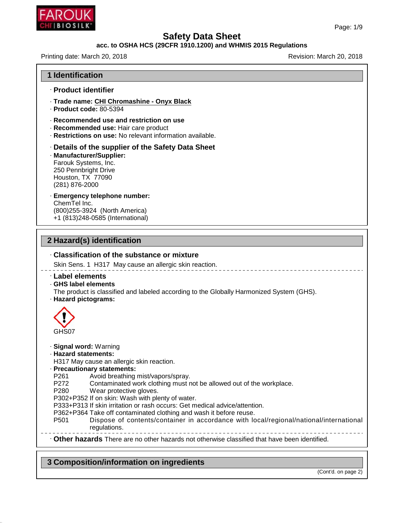

## **acc. to OSHA HCS (29CFR 1910.1200) and WHMIS 2015 Regulations**

Printing date: March 20, 2018 **Printing date: March 20, 2018** 

| · Product identifier<br>· Trade name: CHI Chromashine - Onyx Black<br>$\cdot$ Product code: 80-5394<br>Recommended use and restriction on use<br>· Recommended use: Hair care product<br>· Restrictions on use: No relevant information available.<br>Details of the supplier of the Safety Data Sheet<br>· Manufacturer/Supplier:<br>Farouk Systems, Inc.<br>250 Pennbright Drive<br>Houston, TX 77090<br>(281) 876-2000<br>· Emergency telephone number:<br>ChemTel Inc.<br>(800) 255-3924 (North America)<br>+1 (813)248-0585 (International)<br>2 Hazard(s) identification<br>. Classification of the substance or mixture<br>Skin Sens. 1 H317 May cause an allergic skin reaction.<br><b>Label elements</b><br>· GHS label elements<br>The product is classified and labeled according to the Globally Harmonized System (GHS).<br>· Hazard pictograms:<br>GHS07<br>· Signal word: Warning<br>· Hazard statements:<br>H317 May cause an allergic skin reaction.<br>· Precautionary statements:<br>P <sub>261</sub><br>Avoid breathing mist/vapors/spray.<br>P272<br>Contaminated work clothing must not be allowed out of the workplace.<br>P280<br>Wear protective gloves.<br>P302+P352 If on skin: Wash with plenty of water.<br>P333+P313 If skin irritation or rash occurs: Get medical advice/attention. | <b>1 Identification</b> |  |
|---------------------------------------------------------------------------------------------------------------------------------------------------------------------------------------------------------------------------------------------------------------------------------------------------------------------------------------------------------------------------------------------------------------------------------------------------------------------------------------------------------------------------------------------------------------------------------------------------------------------------------------------------------------------------------------------------------------------------------------------------------------------------------------------------------------------------------------------------------------------------------------------------------------------------------------------------------------------------------------------------------------------------------------------------------------------------------------------------------------------------------------------------------------------------------------------------------------------------------------------------------------------------------------------------------------------|-------------------------|--|
|                                                                                                                                                                                                                                                                                                                                                                                                                                                                                                                                                                                                                                                                                                                                                                                                                                                                                                                                                                                                                                                                                                                                                                                                                                                                                                                     |                         |  |
|                                                                                                                                                                                                                                                                                                                                                                                                                                                                                                                                                                                                                                                                                                                                                                                                                                                                                                                                                                                                                                                                                                                                                                                                                                                                                                                     |                         |  |
|                                                                                                                                                                                                                                                                                                                                                                                                                                                                                                                                                                                                                                                                                                                                                                                                                                                                                                                                                                                                                                                                                                                                                                                                                                                                                                                     |                         |  |
|                                                                                                                                                                                                                                                                                                                                                                                                                                                                                                                                                                                                                                                                                                                                                                                                                                                                                                                                                                                                                                                                                                                                                                                                                                                                                                                     |                         |  |
|                                                                                                                                                                                                                                                                                                                                                                                                                                                                                                                                                                                                                                                                                                                                                                                                                                                                                                                                                                                                                                                                                                                                                                                                                                                                                                                     |                         |  |
|                                                                                                                                                                                                                                                                                                                                                                                                                                                                                                                                                                                                                                                                                                                                                                                                                                                                                                                                                                                                                                                                                                                                                                                                                                                                                                                     |                         |  |
|                                                                                                                                                                                                                                                                                                                                                                                                                                                                                                                                                                                                                                                                                                                                                                                                                                                                                                                                                                                                                                                                                                                                                                                                                                                                                                                     |                         |  |
|                                                                                                                                                                                                                                                                                                                                                                                                                                                                                                                                                                                                                                                                                                                                                                                                                                                                                                                                                                                                                                                                                                                                                                                                                                                                                                                     |                         |  |
|                                                                                                                                                                                                                                                                                                                                                                                                                                                                                                                                                                                                                                                                                                                                                                                                                                                                                                                                                                                                                                                                                                                                                                                                                                                                                                                     |                         |  |
|                                                                                                                                                                                                                                                                                                                                                                                                                                                                                                                                                                                                                                                                                                                                                                                                                                                                                                                                                                                                                                                                                                                                                                                                                                                                                                                     |                         |  |
| P362+P364 Take off contaminated clothing and wash it before reuse.<br>Dispose of contents/container in accordance with local/regional/national/international<br>P <sub>501</sub><br>regulations.                                                                                                                                                                                                                                                                                                                                                                                                                                                                                                                                                                                                                                                                                                                                                                                                                                                                                                                                                                                                                                                                                                                    |                         |  |
| . Other hazards There are no other hazards not otherwise classified that have been identified.                                                                                                                                                                                                                                                                                                                                                                                                                                                                                                                                                                                                                                                                                                                                                                                                                                                                                                                                                                                                                                                                                                                                                                                                                      |                         |  |

**3 Composition/information on ingredients**

46.1.6.1

(Cont'd. on page 2)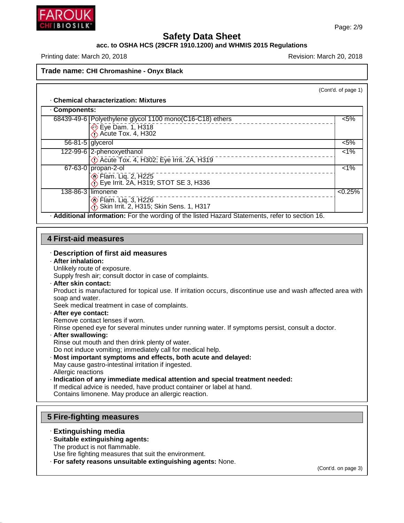

#### **acc. to OSHA HCS (29CFR 1910.1200) and WHMIS 2015 Regulations**

Printing date: March 20, 2018 **Printing date: March 20, 2018** 

#### **Trade name: CHI Chromashine - Onyx Black**

(Cont'd. of page 1)

#### · **Chemical characterization: Mixtures**

| Components: |                                                                                                 |         |
|-------------|-------------------------------------------------------------------------------------------------|---------|
|             | 68439-49-6 Polyethylene glycol 1100 mono(C16-C18) ethers                                        | $< 5\%$ |
|             | $\bigotimes$ Eye Dam. 1, H318                                                                   |         |
|             | $\overline{56-81-5}$ glycerol                                                                   | $< 5\%$ |
|             | 122-99-6 2-phenoxyethanol                                                                       | $< 1\%$ |
|             | <b>C</b> Acute Tox. 4, H302; Eye Irrit. 2A, H319                                                |         |
|             | $67-63-0$ propan-2-ol                                                                           | 1%      |
|             | ion Flam. Liq. 2, H225<br>1. Eye Irrit. 2A, H319; STOT SE 3, H336                               |         |
|             | 138-86-3 limonene                                                                               | < 0.25% |
|             | ion Flam. Liq. 3, H226<br>∴ Skin Irrit. 2, H315; Skin Sens. 1, H317                             |         |
|             | - Additional information: For the wording of the listed Hazard Statements, refer to section 16. |         |

#### **4 First-aid measures**

#### · **Description of first aid measures**

- · **After inhalation:**
- Unlikely route of exposure.

Supply fresh air; consult doctor in case of complaints.

· **After skin contact:**

Product is manufactured for topical use. If irritation occurs, discontinue use and wash affected area with soap and water.

Seek medical treatment in case of complaints.

· **After eye contact:**

Remove contact lenses if worn.

Rinse opened eye for several minutes under running water. If symptoms persist, consult a doctor.

· **After swallowing:**

Rinse out mouth and then drink plenty of water.

- Do not induce vomiting; immediately call for medical help.
- · **Most important symptoms and effects, both acute and delayed:**
- May cause gastro-intestinal irritation if ingested. Allergic reactions
- · **Indication of any immediate medical attention and special treatment needed:**
- If medical advice is needed, have product container or label at hand.

Contains limonene. May produce an allergic reaction.

#### **5 Fire-fighting measures**

· **Extinguishing media**

46.1.6.1

- · **Suitable extinguishing agents:**
- The product is not flammable.

Use fire fighting measures that suit the environment.

· **For safety reasons unsuitable extinguishing agents:** None.

(Cont'd. on page 3)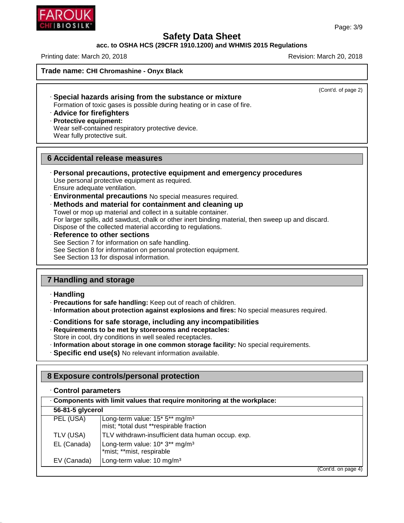## **acc. to OSHA HCS (29CFR 1910.1200) and WHMIS 2015 Regulations**

Printing date: March 20, 2018 **Printing date: March 20, 2018** Revision: March 20, 2018

**Trade name: CHI Chromashine - Onyx Black**

(Cont'd. of page 2)

- · **Special hazards arising from the substance or mixture** Formation of toxic gases is possible during heating or in case of fire.
- · **Advice for firefighters**
- · **Protective equipment:**
- Wear self-contained respiratory protective device. Wear fully protective suit.

#### **6 Accidental release measures**

- · **Personal precautions, protective equipment and emergency procedures** Use personal protective equipment as required. Ensure adequate ventilation.
- · **Environmental precautions** No special measures required.
- · **Methods and material for containment and cleaning up**

Towel or mop up material and collect in a suitable container. For larger spills, add sawdust, chalk or other inert binding material, then sweep up and discard. Dispose of the collected material according to regulations.

· **Reference to other sections** See Section 7 for information on safe handling. See Section 8 for information on personal protection equipment. See Section 13 for disposal information.

# **7 Handling and storage**

#### · **Handling**

46.1.6.1

- · **Precautions for safe handling:** Keep out of reach of children.
- · **Information about protection against explosions and fires:** No special measures required.
- · **Conditions for safe storage, including any incompatibilities**
- · **Requirements to be met by storerooms and receptacles:**
- Store in cool, dry conditions in well sealed receptacles.
- · **Information about storage in one common storage facility:** No special requirements.
- · **Specific end use(s)** No relevant information available.

## **8 Exposure controls/personal protection**

|                  | Components with limit values that require monitoring at the workplace:                |  |
|------------------|---------------------------------------------------------------------------------------|--|
| 56-81-5 glycerol |                                                                                       |  |
| PEL (USA)        | Long-term value: 15* 5** mg/m <sup>3</sup><br>mist; *total dust **respirable fraction |  |
| TLV (USA)        | TLV withdrawn-insufficient data human occup. exp.                                     |  |
| EL (Canada)      | Long-term value: 10* 3** mg/m <sup>3</sup><br>*mist; **mist, respirable               |  |
| EV (Canada)      | Long-term value: 10 mg/m <sup>3</sup>                                                 |  |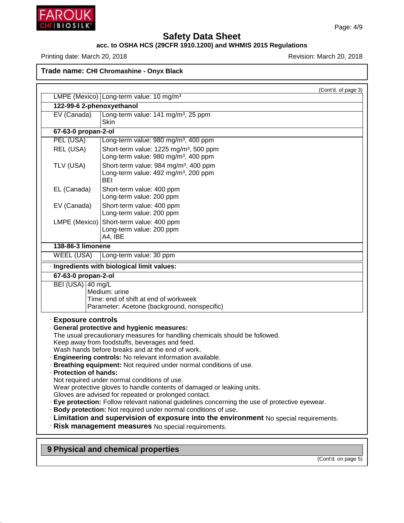

46.1.6.1

# **Safety Data Sheet**

#### **acc. to OSHA HCS (29CFR 1910.1200) and WHMIS 2015 Regulations**

Printing date: March 20, 2018 **Printing date: March 20, 2018** 

**Trade name: CHI Chromashine - Onyx Black**

|                           | (Cont'd. of page 3)                                                                                                               |
|---------------------------|-----------------------------------------------------------------------------------------------------------------------------------|
|                           | LMPE (Mexico) Long-term value: 10 mg/m <sup>3</sup>                                                                               |
| 122-99-6 2-phenoxyethanol |                                                                                                                                   |
| EV (Canada)               | Long-term value: 141 mg/m <sup>3</sup> , 25 ppm<br>Skin                                                                           |
| 67-63-0 propan-2-ol       |                                                                                                                                   |
| PEL (USA)                 | Long-term value: 980 mg/m <sup>3</sup> , 400 ppm                                                                                  |
| REL (USA)                 | Short-term value: 1225 mg/m <sup>3</sup> , 500 ppm                                                                                |
|                           | Long-term value: 980 mg/m <sup>3</sup> , 400 ppm                                                                                  |
| TLV (USA)                 | Short-term value: 984 mg/m <sup>3</sup> , 400 ppm                                                                                 |
|                           | Long-term value: 492 mg/m <sup>3</sup> , 200 ppm<br><b>BEI</b>                                                                    |
| EL (Canada)               | Short-term value: 400 ppm                                                                                                         |
|                           | Long-term value: 200 ppm                                                                                                          |
| EV (Canada)               | Short-term value: 400 ppm                                                                                                         |
|                           | Long-term value: 200 ppm                                                                                                          |
| LMPE (Mexico)             | Short-term value: 400 ppm                                                                                                         |
|                           | Long-term value: 200 ppm<br>A4, IBE                                                                                               |
| 138-86-3 limonene         |                                                                                                                                   |
| <b>WEEL (USA)</b>         | Long-term value: 30 ppm                                                                                                           |
|                           | · Ingredients with biological limit values:                                                                                       |
| 67-63-0 propan-2-ol       |                                                                                                                                   |
| BEI (USA) 40 mg/L         |                                                                                                                                   |
|                           | Medium: urine                                                                                                                     |
|                           | Time: end of shift at end of workweek<br>Parameter: Acetone (background, nonspecific)                                             |
|                           |                                                                                                                                   |
| <b>Exposure controls</b>  | · General protective and hygienic measures:                                                                                       |
|                           | The usual precautionary measures for handling chemicals should be followed.                                                       |
|                           | Keep away from foodstuffs, beverages and feed.                                                                                    |
|                           | Wash hands before breaks and at the end of work.                                                                                  |
|                           | · Engineering controls: No relevant information available.<br>· Breathing equipment: Not required under normal conditions of use. |
| · Protection of hands:    |                                                                                                                                   |
|                           | Not required under normal conditions of use.                                                                                      |
|                           | Wear protective gloves to handle contents of damaged or leaking units.                                                            |
|                           | Gloves are advised for repeated or prolonged contact.                                                                             |
|                           | Eye protection: Follow relevant national guidelines concerning the use of protective eyewear.                                     |
|                           | · Body protection: Not required under normal conditions of use.                                                                   |
|                           | . Limitation and supervision of exposure into the environment No special requirements.                                            |
|                           |                                                                                                                                   |
|                           | · Risk management measures No special requirements.                                                                               |
|                           | 9 Physical and chemical properties                                                                                                |

(Cont'd. on page 5)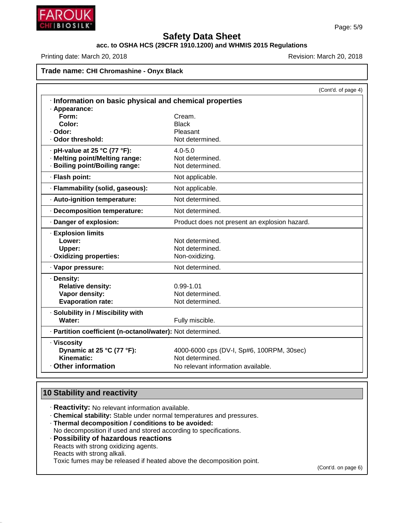

# **acc. to OSHA HCS (29CFR 1910.1200) and WHMIS 2015 Regulations**

Printing date: March 20, 2018 **Printing date: March 20, 2018** Revision: March 20, 2018

# **Trade name: CHI Chromashine - Onyx Black**

|                                                            |                                               | (Cont'd. of page 4) |
|------------------------------------------------------------|-----------------------------------------------|---------------------|
| Information on basic physical and chemical properties      |                                               |                     |
| · Appearance:                                              |                                               |                     |
| Form:                                                      | Cream.                                        |                     |
| Color:                                                     | <b>Black</b>                                  |                     |
| · Odor:<br>. Odor threshold:                               | Pleasant<br>Not determined.                   |                     |
|                                                            |                                               |                     |
| $\cdot$ pH-value at 25 °C (77 °F):                         | $4.0 - 5.0$                                   |                     |
| · Melting point/Melting range:                             | Not determined.                               |                     |
| · Boiling point/Boiling range:                             | Not determined.                               |                     |
| · Flash point:                                             | Not applicable.                               |                     |
| · Flammability (solid, gaseous):                           | Not applicable.                               |                     |
| · Auto-ignition temperature:                               | Not determined.                               |                     |
| Decomposition temperature:                                 | Not determined.                               |                     |
| · Danger of explosion:                                     | Product does not present an explosion hazard. |                     |
| · Explosion limits                                         |                                               |                     |
| Lower:                                                     | Not determined.                               |                     |
| Upper:                                                     | Not determined.                               |                     |
| · Oxidizing properties:                                    | Non-oxidizing.                                |                     |
| · Vapor pressure:                                          | Not determined.                               |                     |
| · Density:                                                 |                                               |                     |
| <b>Relative density:</b>                                   | $0.99 - 1.01$                                 |                     |
| Vapor density:                                             | Not determined.                               |                     |
| <b>Evaporation rate:</b>                                   | Not determined.                               |                     |
| · Solubility in / Miscibility with                         |                                               |                     |
| Water:                                                     | Fully miscible.                               |                     |
| · Partition coefficient (n-octanol/water): Not determined. |                                               |                     |
| · Viscosity                                                |                                               |                     |
| Dynamic at 25 °C (77 °F):                                  | 4000-6000 cps (DV-I, Sp#6, 100RPM, 30sec)     |                     |
| Kinematic:                                                 | Not determined.                               |                     |
| <b>Other information</b>                                   | No relevant information available.            |                     |
|                                                            |                                               |                     |

# **10 Stability and reactivity**

46.1.6.1

- · **Reactivity:** No relevant information available.
- · **Chemical stability:** Stable under normal temperatures and pressures.
- · **Thermal decomposition / conditions to be avoided:** No decomposition if used and stored according to specifications.
- · **Possibility of hazardous reactions** Reacts with strong oxidizing agents. Reacts with strong alkali. Toxic fumes may be released if heated above the decomposition point.

(Cont'd. on page 6)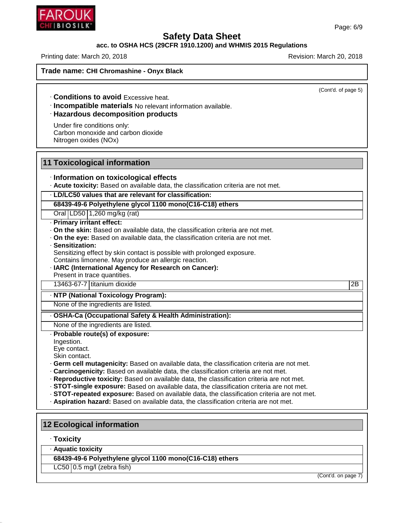

## **acc. to OSHA HCS (29CFR 1910.1200) and WHMIS 2015 Regulations**

Printing date: March 20, 2018 **Printing date: March 20, 2018** Revision: March 20, 2018

**Trade name: CHI Chromashine - Onyx Black**

(Cont'd. of page 5)

· **Conditions to avoid** Excessive heat.

· **Incompatible materials** No relevant information available.

#### · **Hazardous decomposition products**

Under fire conditions only: Carbon monoxide and carbon dioxide Nitrogen oxides (NOx)

#### **11 Toxicological information**

#### · **Information on toxicological effects**

· **Acute toxicity:** Based on available data, the classification criteria are not met.

#### · **LD/LC50 values that are relevant for classification:**

**68439-49-6 Polyethylene glycol 1100 mono(C16-C18) ethers**

Oral LD50 1,260 mg/kg (rat)

#### · **Primary irritant effect:**

- · **On the skin:** Based on available data, the classification criteria are not met.
- · **On the eye:** Based on available data, the classification criteria are not met.

#### · **Sensitization:**

Sensitizing effect by skin contact is possible with prolonged exposure.

- Contains limonene. May produce an allergic reaction.
- · **IARC (International Agency for Research on Cancer):**

Present in trace quantities.

13463-67-7 titanium dioxide 2B

#### · **NTP (National Toxicology Program):**

None of the ingredients are listed.

#### · **OSHA-Ca (Occupational Safety & Health Administration):**

None of the ingredients are listed. · **Probable route(s) of exposure:**

Ingestion.

Eye contact.

Skin contact.

- · **Germ cell mutagenicity:** Based on available data, the classification criteria are not met.
- · **Carcinogenicity:** Based on available data, the classification criteria are not met.
- · **Reproductive toxicity:** Based on available data, the classification criteria are not met.
- · **STOT-single exposure:** Based on available data, the classification criteria are not met.
- · **STOT-repeated exposure:** Based on available data, the classification criteria are not met.
- · **Aspiration hazard:** Based on available data, the classification criteria are not met.

## **12 Ecological information**

#### · **Toxicity**

46.1.6.1

· **Aquatic toxicity**

**68439-49-6 Polyethylene glycol 1100 mono(C16-C18) ethers**

 $LC50$  | 0.5 mg/l (zebra fish)

(Cont'd. on page 7)

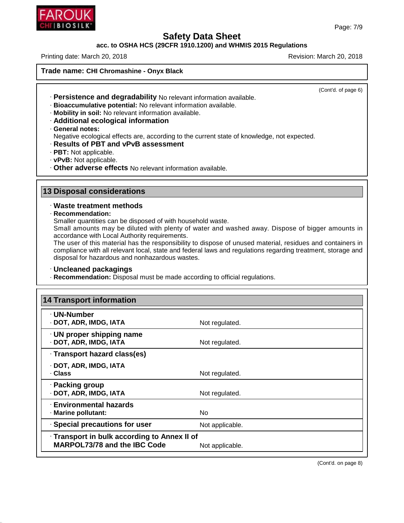

#### **acc. to OSHA HCS (29CFR 1910.1200) and WHMIS 2015 Regulations**

Printing date: March 20, 2018 **Printing date: March 20, 2018** Revision: March 20, 2018

**Trade name: CHI Chromashine - Onyx Black**

(Cont'd. of page 6)

- · **Persistence and degradability** No relevant information available.
- · **Bioaccumulative potential:** No relevant information available.
- · **Mobility in soil:** No relevant information available.
- · **Additional ecological information**
- · **General notes:**

Negative ecological effects are, according to the current state of knowledge, not expected.

- · **Results of PBT and vPvB assessment**
- · **PBT:** Not applicable.
- · **vPvB:** Not applicable.
- · **Other adverse effects** No relevant information available.

## **13 Disposal considerations**

#### · **Waste treatment methods**

· **Recommendation:**

46.1.6.1

Smaller quantities can be disposed of with household waste.

Small amounts may be diluted with plenty of water and washed away. Dispose of bigger amounts in accordance with Local Authority requirements.

The user of this material has the responsibility to dispose of unused material, residues and containers in compliance with all relevant local, state and federal laws and regulations regarding treatment, storage and disposal for hazardous and nonhazardous wastes.

#### · **Uncleaned packagings**

· **Recommendation:** Disposal must be made according to official regulations.

| <b>14 Transport information</b>                                                     |                 |  |
|-------------------------------------------------------------------------------------|-----------------|--|
| · UN-Number<br>· DOT, ADR, IMDG, IATA                                               | Not regulated.  |  |
| · UN proper shipping name<br>· DOT, ADR, IMDG, IATA                                 | Not regulated.  |  |
| · Transport hazard class(es)                                                        |                 |  |
| · DOT, ADR, IMDG, IATA<br>. Class                                                   | Not regulated.  |  |
| · Packing group<br>· DOT, ADR, IMDG, IATA                                           | Not regulated.  |  |
| <b>Environmental hazards</b><br>· Marine pollutant:                                 | No.             |  |
| · Special precautions for user                                                      | Not applicable. |  |
| · Transport in bulk according to Annex II of<br><b>MARPOL73/78 and the IBC Code</b> | Not applicable. |  |

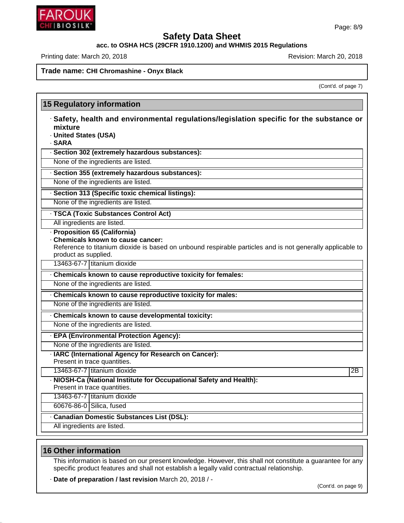

# **acc. to OSHA HCS (29CFR 1910.1200) and WHMIS 2015 Regulations**

Printing date: March 20, 2018 **Printing date: March 20, 2018** Revision: March 20, 2018

**15 Regulatory information**

**Trade name: CHI Chromashine - Onyx Black**

(Cont'd. of page 7)

| · Safety, health and environmental regulations/legislation specific for the substance or                  |    |
|-----------------------------------------------------------------------------------------------------------|----|
| mixture                                                                                                   |    |
| · United States (USA)                                                                                     |    |
| · SARA                                                                                                    |    |
| · Section 302 (extremely hazardous substances):                                                           |    |
| None of the ingredients are listed.                                                                       |    |
| · Section 355 (extremely hazardous substances):                                                           |    |
| None of the ingredients are listed.                                                                       |    |
| · Section 313 (Specific toxic chemical listings):                                                         |    |
| None of the ingredients are listed.                                                                       |    |
| · TSCA (Toxic Substances Control Act)                                                                     |    |
| All ingredients are listed.                                                                               |    |
| · Proposition 65 (California)                                                                             |    |
| Chemicals known to cause cancer:                                                                          |    |
| Reference to titanium dioxide is based on unbound respirable particles and is not generally applicable to |    |
| product as supplied.                                                                                      |    |
| 13463-67-7 titanium dioxide                                                                               |    |
| Chemicals known to cause reproductive toxicity for females:                                               |    |
| None of the ingredients are listed.                                                                       |    |
| Chemicals known to cause reproductive toxicity for males:                                                 |    |
| None of the ingredients are listed.                                                                       |    |
| Chemicals known to cause developmental toxicity:                                                          |    |
| None of the ingredients are listed.                                                                       |    |
| · EPA (Environmental Protection Agency):                                                                  |    |
| None of the ingredients are listed.                                                                       |    |
| · IARC (International Agency for Research on Cancer):                                                     |    |
| Present in trace quantities.                                                                              |    |
| 13463-67-7 titanium dioxide                                                                               | 2B |
| - NIOSH-Ca (National Institute for Occupational Safety and Health):                                       |    |
| Present in trace quantities.                                                                              |    |
| 13463-67-7 titanium dioxide                                                                               |    |
| 60676-86-0 Silica, fused                                                                                  |    |
|                                                                                                           |    |
| <b>Canadian Domestic Substances List (DSL):</b>                                                           |    |

## **16 Other information**

46.1.6.1

This information is based on our present knowledge. However, this shall not constitute a guarantee for any specific product features and shall not establish a legally valid contractual relationship.

· **Date of preparation / last revision** March 20, 2018 / -